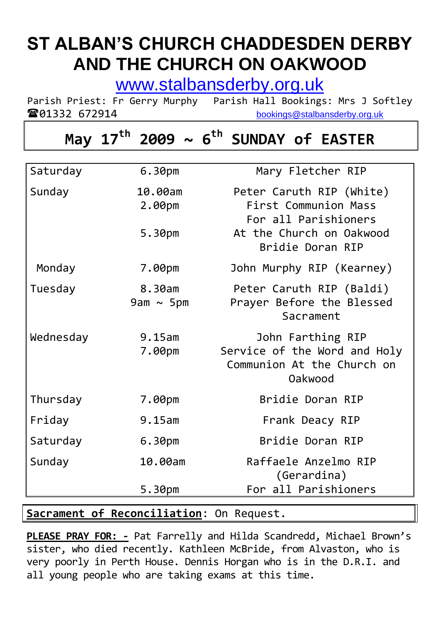# **ST ALBAN'S CHURCH CHADDESDEN DERBY AND THE CHURCH ON OAKWOOD**

[www.stalbansderby.org.uk](http://www.stalbansderby.org.uk/)

Parish Priest: Fr Gerry Murphy Parish Hall Bookings: Mrs J Softley **TO 201332 672914** [bookings@stalbansderby.org.uk](mailto:bookings@stalbansderby.org.uk)

|           | May 17 <sup>th</sup><br>2009 | $\sim 6^{th}$<br><b>SUNDAY of EASTER</b>                                                   |
|-----------|------------------------------|--------------------------------------------------------------------------------------------|
|           |                              |                                                                                            |
| Saturday  | 6.30pm                       | Mary Fletcher RIP                                                                          |
| Sunday    | 10.00am<br>2.00pm            | Peter Caruth RIP (White)<br><b>First Communion Mass</b><br>For all Parishioners            |
|           | 5.30pm                       | At the Church on Oakwood<br>Bridie Doran RIP                                               |
| Monday    | 7.00pm                       | John Murphy RIP (Kearney)                                                                  |
| Tuesday   | 8.30am<br>9am $\sim$ 5pm     | Peter Caruth RIP (Baldi)<br>Prayer Before the Blessed<br>Sacrament                         |
| Wednesday | 9.15am<br>7.00pm             | John Farthing RIP<br>Service of the Word and Holy<br>Communion At the Church on<br>Oakwood |
| Thursday  | 7.00pm                       | Bridie Doran RIP                                                                           |
| Friday    | 9.15am                       | Frank Deacy RIP                                                                            |
| Saturday  | 6.30pm                       | Bridie Doran RIP                                                                           |
| Sunday    | 10.00am                      | Raffaele Anzelmo RIP<br>(Gerardina)                                                        |
|           | 5.30pm                       | For all Parishioners                                                                       |

**Sacrament of Reconciliation**: On Request.

PLEASE PRAY FOR: - Pat Farrelly and Hilda Scandredd, Michael Brown's sister, who died recently. Kathleen McBride, from Alvaston, who is very poorly in Perth House. Dennis Horgan who is in the D.R.I. and all young people who are taking exams at this time.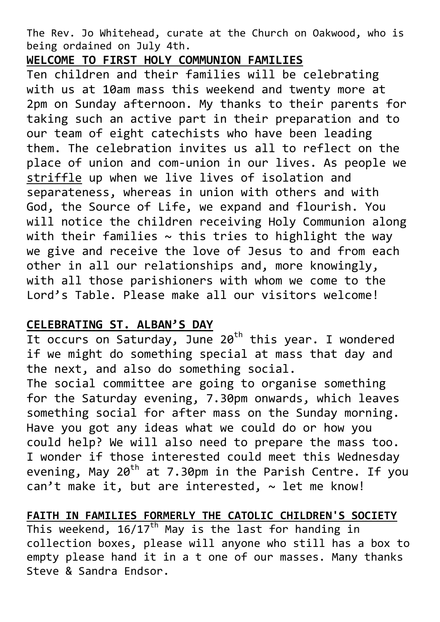The Rev. Jo Whitehead, curate at the Church on Oakwood, who is being ordained on July 4th.

# **WELCOME TO FIRST HOLY COMMUNION FAMILIES**

Ten children and their families will be celebrating with us at 10am mass this weekend and twenty more at 2pm on Sunday afternoon. My thanks to their parents for taking such an active part in their preparation and to our team of eight catechists who have been leading them. The celebration invites us all to reflect on the place of union and com-union in our lives. As people we striffle up when we live lives of isolation and separateness, whereas in union with others and with God, the Source of Life, we expand and flourish. You will notice the children receiving Holy Communion along with their families  $\sim$  this tries to highlight the way we give and receive the love of Jesus to and from each other in all our relationships and, more knowingly, with all those parishioners with whom we come to the Lord's Table. Please make all our visitors welcome!

# **CELEBRATING ST. ALBAN'S DAY**

It occurs on Saturday, June 20<sup>th</sup> this year. I wondered if we might do something special at mass that day and the next, and also do something social. The social committee are going to organise something for the Saturday evening, 7.30pm onwards, which leaves something social for after mass on the Sunday morning. Have you got any ideas what we could do or how you could help? We will also need to prepare the mass too. I wonder if those interested could meet this Wednesday evening, May  $20^{th}$  at 7.30pm in the Parish Centre. If you can't make it, but are interested,  $\sim$  let me know!

# **FAITH IN FAMILIES FORMERLY THE CATOLIC CHILDREN'S SOCIETY**

This weekend,  $16/17^{\text{th}}$  May is the last for handing in collection boxes, please will anyone who still has a box to empty please hand it in a t one of our masses. Many thanks Steve & Sandra Endsor.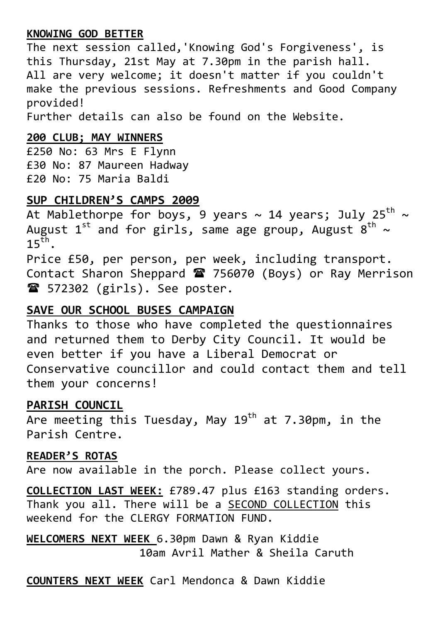## **KNOWING GOD BETTER**

The next session called,'Knowing God's Forgiveness', is this Thursday, 21st May at 7.30pm in the parish hall. All are very welcome; it doesn't matter if you couldn't make the previous sessions. Refreshments and Good Company provided!

Further details can also be found on the Website.

## **200 CLUB; MAY WINNERS**

£250 No: 63 Mrs E Flynn £30 No: 87 Maureen Hadway £20 No: 75 Maria Baldi

## **SUP CHILDREN'S CAMPS 2009**

At Mablethorpe for boys, 9 years  $\sim$  14 years; July 25 $^{\sf th}$   $\sim$ August  $1^\text{st}$  and for girls, same age group, August  $8^\text{th}$   $\sim$  $15^{th}$ . Price £50, per person, per week, including transport. Contact Sharon Sheppard 756070 (Boys) or Ray Merrison

<sup>2</sup> 572302 (girls). See poster.

# **SAVE OUR SCHOOL BUSES CAMPAIGN**

Thanks to those who have completed the questionnaires and returned them to Derby City Council. It would be even better if you have a Liberal Democrat or Conservative councillor and could contact them and tell them your concerns!

# **PARISH COUNCIL**

Are meeting this Tuesday, May  $19^{th}$  at 7.30pm, in the Parish Centre.

## **READER'S ROTAS**

Are now available in the porch. Please collect yours.

**COLLECTION LAST WEEK:** £789.47 plus £163 standing orders. Thank you all. There will be a SECOND COLLECTION this weekend for the CLERGY FORMATION FUND.

**WELCOMERS NEXT WEEK** 6.30pm Dawn & Ryan Kiddie 10am Avril Mather & Sheila Caruth

**COUNTERS NEXT WEEK** Carl Mendonca & Dawn Kiddie